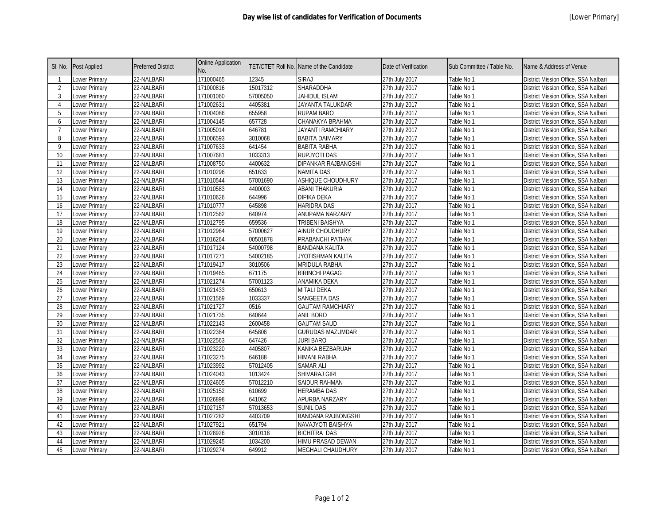| SI. No.        | <b>Post Applied</b>  | <b>Preferred District</b> | <b>Online Application</b><br>No. |          | TET/CTET Roll No. Name of the Candidate | Date of Verification | Sub Committee / Table No. | Name & Address of Venue              |
|----------------|----------------------|---------------------------|----------------------------------|----------|-----------------------------------------|----------------------|---------------------------|--------------------------------------|
|                | Lower Primary        | 22-NALBARI                | 171000465                        | 12345    | <b>SIRAJ</b>                            | 27th July 2017       | Table No 1                | District Mission Office, SSA Nalbari |
| 2              | Lower Primary        | 22-NALBARI                | 171000816                        | 15017312 | SHARADDHA                               | 27th July 2017       | Table No 1                | District Mission Office, SSA Nalbari |
| 3              | Lower Primary        | 22-NALBARI                | 171001060                        | 57005050 | JAHIDUL ISLAM                           | 27th July 2017       | Table No 1                | District Mission Office, SSA Nalbari |
| $\overline{4}$ | Lower Primary        | 22-NALBARI                | 171002631                        | 4405381  | JAYANTA TALUKDAR                        | 27th July 2017       | Table No 1                | District Mission Office, SSA Nalbari |
| 5              | Lower Primary        | 22-NALBARI                | 171004086                        | 655958   | RUPAM BARO                              | 27th July 2017       | Table No 1                | District Mission Office, SSA Nalbari |
| 6              | Lower Primary        | 22-NALBARI                | 171004145                        | 657728   | CHANAKYA BRAHMA                         | 27th July 2017       | Table No 1                | District Mission Office, SSA Nalbari |
| -7             | Lower Primary        | 22-NALBARI                | 171005014                        | 646781   | <b>JAYANTI RAMCHIARY</b>                | 27th July 2017       | Table No 1                | District Mission Office, SSA Nalbari |
| 8              | Lower Primary        | 22-NALBARI                | 171006593                        | 3010068  | <b>BABITA DAIMARY</b>                   | 27th July 2017       | Table No 1                | District Mission Office, SSA Nalbari |
| 9              | Lower Primary        | 22-NALBARI                | 171007633                        | 641454   | <b>BABITA RABHA</b>                     | 27th July 2017       | Table No 1                | District Mission Office, SSA Nalbari |
| 10             | Lower Primary        | 22-NALBARI                | 171007681                        | 1033313  | <b>RUPJYOTI DAS</b>                     | 27th July 2017       | Table No 1                | District Mission Office, SSA Nalbari |
| 11             | Lower Primary        | 22-NALBARI                | 171008750                        | 4400632  | DIPANKAR RAJBANGSHI                     | 27th July 2017       | Table No 1                | District Mission Office, SSA Nalbari |
| 12             | Lower Primary        | 22-NALBARI                | 171010296                        | 651633   | <b>NAMITA DAS</b>                       | 27th July 2017       | Table No 1                | District Mission Office, SSA Nalbari |
| 13             | Lower Primary        | 22-NALBARI                | 171010544                        | 57001690 | ASHIQUE CHOUDHURY                       | 27th July 2017       | Table No 1                | District Mission Office, SSA Nalbari |
| 14             | Lower Primary        | 22-NALBARI                | 171010583                        | 4400003  | <b>ABANI THAKURIA</b>                   | 27th July 2017       | Table No 1                | District Mission Office, SSA Nalbari |
| 15             | Lower Primary        | 22-NALBARI                | 171010626                        | 644996   | <b>DIPIKA DEKA</b>                      | 27th July 2017       | Table No 1                | District Mission Office, SSA Nalbari |
| 16             | Lower Primary        | 22-NALBARI                | 171010777                        | 645898   | <b>HARIDRA DAS</b>                      | 27th July 2017       | Table No 1                | District Mission Office, SSA Nalbari |
| 17             | Lower Primary        | 22-NALBARI                | 171012562                        | 640974   | ANUPAMA NARZARY                         | 27th July 2017       | Table No 1                | District Mission Office, SSA Nalbari |
| 18             | Lower Primary        | 22-NALBARI                | 171012795                        | 659536   | TRIBENI BAISHYA                         | 27th July 2017       | Table No 1                | District Mission Office, SSA Nalbari |
| 19             | Lower Primary        | 22-NALBARI                | 171012964                        | 57000627 | <b>AINUR CHOUDHURY</b>                  | 27th July 2017       | Table No 1                | District Mission Office, SSA Nalbari |
| 20             | Lower Primary        | 22-NALBARI                | 171016264                        | 00501878 | PRABANCHI PATHAK                        | 27th July 2017       | Table No 1                | District Mission Office, SSA Nalbari |
| 21             | Lower Primary        | 22-NALBARI                | 171017124                        | 54000798 | <b>BANDANA KALITA</b>                   | 27th July 2017       | Table No 1                | District Mission Office, SSA Nalbari |
| 22             | Lower Primary        | 22-NALBARI                | 171017271                        | 54002185 | JYOTISHMAN KALITA                       | 27th July 2017       | Table No 1                | District Mission Office, SSA Nalbari |
| 23             | Lower Primary        | 22-NALBARI                | 171019417                        | 3010506  | MRIDULA RABHA                           | 27th July 2017       | Table No 1                | District Mission Office, SSA Nalbari |
| 24             | Lower Primary        | 22-NALBARI                | 171019465                        | 671175   | <b>BIRINCHI PAGAG</b>                   | 27th July 2017       | Table No 1                | District Mission Office, SSA Nalbari |
| 25             | Lower Primary        | 22-NALBARI                | 171021274                        | 57001123 | ANAMIKA DEKA                            | 27th July 2017       | Table No 1                | District Mission Office, SSA Nalbari |
| 26             | Lower Primary        | 22-NALBARI                | 171021433                        | 650613   | <b>MITALI DEKA</b>                      | 27th July 2017       | Table No 1                | District Mission Office, SSA Nalbari |
| 27             | Lower Primary        | 22-NALBARI                | 171021569                        | 1033337  | <b>SANGEETA DAS</b>                     | 27th July 2017       | Table No 1                | District Mission Office, SSA Nalbari |
| 28             | Lower Primary        | 22-NALBARI                | 171021727                        | 0516     | <b>GAUTAM RAMCHIARY</b>                 | 27th July 2017       | Table No 1                | District Mission Office, SSA Nalbari |
| 29             | Lower Primary        | 22-NALBARI                | 171021735                        | 640644   | <b>ANIL BORO</b>                        | 27th July 2017       | Table No 1                | District Mission Office, SSA Nalbari |
| 30             | <b>Lower Primary</b> | 22-NALBARI                | 171022143                        | 2600458  | <b>GAUTAM SAUD</b>                      | 27th July 2017       | Table No 1                | District Mission Office, SSA Nalbari |
| 31             | Lower Primary        | 22-NALBARI                | 171022384                        | 645808   | <b>GURUDAS MAZUMDAR</b>                 | 27th July 2017       | Table No 1                | District Mission Office, SSA Nalbari |
| 32             | Lower Primary        | 22-NALBARI                | 171022563                        | 647426   | <b>JURI BARO</b>                        | 27th July 2017       | Table No 1                | District Mission Office, SSA Nalbari |
| 33             | Lower Primary        | 22-NALBARI                | 171023220                        | 4405807  | KANIKA BEZBARUAH                        | 27th July 2017       | Table No 1                | District Mission Office, SSA Nalbari |
| 34             | Lower Primary        | 22-NALBARI                | 171023275                        | 646188   | <b>HIMANI RABHA</b>                     | 27th July 2017       | Table No 1                | District Mission Office, SSA Nalbari |
| 35             | Lower Primary        | 22-NALBARI                | 171023992                        | 57012405 | <b>SAMAR ALI</b>                        | 27th July 2017       | Table No 1                | District Mission Office, SSA Nalbari |
| 36             | Lower Primary        | 22-NALBARI                | 171024043                        | 1013424  | SHIVARAJ GIRI                           | 27th July 2017       | Table No 1                | District Mission Office, SSA Nalbari |
| 37             | Lower Primary        | 22-NALBARI                | 171024605                        | 57012210 | SAIDUR RAHMAN                           | 27th July 2017       | Table No 1                | District Mission Office, SSA Nalbari |
| 38             | Lower Primary        | 22-NALBARI                | 171025152                        | 610699   | <b>HERAMBA DAS</b>                      | 27th July 2017       | Table No 1                | District Mission Office, SSA Nalbari |
| 39             | Lower Primary        | 22-NALBARI                | 171026898                        | 641062   | APURBA NARZARY                          | 27th July 2017       | Table No 1                | District Mission Office, SSA Nalbari |
| 40             | Lower Primary        | 22-NALBARI                | 171027157                        | 57013653 | <b>SUNIL DAS</b>                        | 27th July 2017       | Table No 1                | District Mission Office, SSA Nalbari |
| 41             | Lower Primary        | 22-NALBARI                | 171027282                        | 4403709  | <b>BANDANA RAJBONGSHI</b>               | 27th July 2017       | Table No 1                | District Mission Office, SSA Nalbari |
| 42             | Lower Primary        | 22-NALBARI                | 171027921                        | 651794   | NAVAJYOTI BAISHYA                       | 27th July 2017       | Table No 1                | District Mission Office, SSA Nalbari |
| 43             | Lower Primary        | 22-NALBARI                | 171028926                        | 3010118  | <b>BICHITRA DAS</b>                     | 27th July 2017       | Table No 1                | District Mission Office, SSA Nalbari |
| 44             | Lower Primary        | 22-NALBARI                | 171029245                        | 1034200  | HIMU PRASAD DEWAN                       | 27th July 2017       | Table No 1                | District Mission Office, SSA Nalbari |
| 45             | Lower Primary        | 22-NALBARI                | 171029274                        | 649912   | <b>MEGHALI CHAUDHURY</b>                | 27th July 2017       | Table No 1                | District Mission Office, SSA Nalbari |